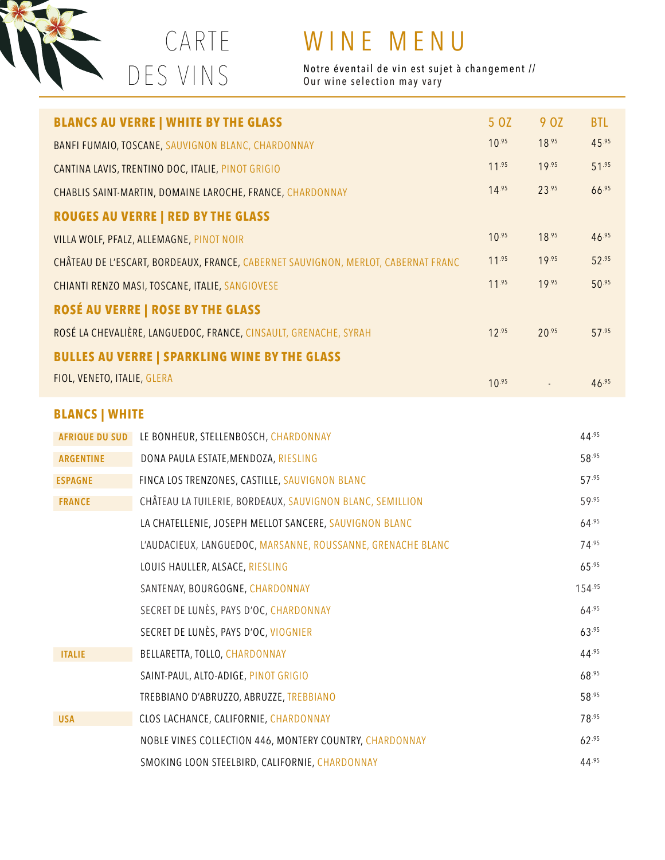

 CARTE DES VINS

## WINE MENU

Notre éventail de vin est sujet à changement // Our wine selection may vary

|                                          |                                                                                   | <b>BLANCS AU VERRE   WHITE BY THE GLASS</b>                 | 5 OZ       | 9 OZ       | <b>BTL</b> |
|------------------------------------------|-----------------------------------------------------------------------------------|-------------------------------------------------------------|------------|------------|------------|
|                                          |                                                                                   | BANFI FUMAIO, TOSCANE, SAUVIGNON BLANC, CHARDONNAY          | $10^{.95}$ | 18.95      | 45.95      |
|                                          |                                                                                   | CANTINA LAVIS, TRENTINO DOC, ITALIE, PINOT GRIGIO           | $11^{.95}$ | 19.95      | 51.95      |
|                                          |                                                                                   | CHABLIS SAINT-MARTIN, DOMAINE LAROCHE, FRANCE, CHARDONNAY   | $14^{.95}$ | 23.95      | 66.95      |
|                                          |                                                                                   | <b>ROUGES AU VERRE   RED BY THE GLASS</b>                   |            |            |            |
|                                          | VILLA WOLF, PFALZ, ALLEMAGNE, PINOT NOIR                                          |                                                             | $10^{.95}$ | 18.95      | 46.95      |
|                                          | CHÂTEAU DE L'ESCART, BORDEAUX, FRANCE, CABERNET SAUVIGNON, MERLOT, CABERNAT FRANC |                                                             | $11^{.95}$ | 19.95      | 52.95      |
|                                          | CHIANTI RENZO MASI, TOSCANE, ITALIE, SANGIOVESE                                   |                                                             | $11^{.95}$ | 19.95      | 50.95      |
| <b>ROSÉ AU VERRE   ROSE BY THE GLASS</b> |                                                                                   |                                                             |            |            |            |
|                                          | ROSÉ LA CHEVALIÈRE, LANGUEDOC, FRANCE, CINSAULT, GRENACHE, SYRAH                  |                                                             |            | 20.95      | 57.95      |
|                                          | <b>BULLES AU VERRE   SPARKLING WINE BY THE GLASS</b>                              |                                                             |            |            |            |
| FIOL, VENETO, ITALIE, GLERA              |                                                                                   | $10^{.95}$                                                  |            | $46^{.95}$ |            |
|                                          | <b>BLANCS   WHITE</b>                                                             |                                                             |            |            |            |
|                                          | <b>AFRIQUE DU SUD</b>                                                             | LE BONHEUR, STELLENBOSCH, CHARDONNAY                        |            |            | $44^{.95}$ |
|                                          | <b>ARGENTINE</b>                                                                  | DONA PAULA ESTATE, MENDOZA, RIESLING                        |            |            | 58.95      |
|                                          | <b>ESPAGNE</b>                                                                    | FINCA LOS TRENZONES, CASTILLE, SAUVIGNON BLANC              |            |            | 57.95      |
|                                          | <b>FRANCE</b>                                                                     | CHÂTEAU LA TUILERIE, BORDEAUX, SAUVIGNON BLANC, SEMILLION   |            |            | 59.95      |
|                                          |                                                                                   | LA CHATELLENIE, JOSEPH MELLOT SANCERE, SAUVIGNON BLANC      |            |            | 64.95      |
|                                          |                                                                                   | L'AUDACIEUX, LANGUEDOC, MARSANNE, ROUSSANNE, GRENACHE BLANC |            |            | 74.95      |
|                                          |                                                                                   | LOUIS HAULLER, ALSACE, RIESLING                             |            |            | 65.95      |
|                                          |                                                                                   | SANTENAY, BOURGOGNE, CHARDONNAY                             |            |            | 154.95     |
|                                          |                                                                                   | SECRET DE LUNÈS, PAYS D'OC, CHARDONNAY                      |            |            | 64.95      |

|               | SECRET DE LUNÈS, PAYS D'OC, VIOGNIER                    | $63^{.95}$ |
|---------------|---------------------------------------------------------|------------|
| <b>ITALIE</b> | BELLARETTA, TOLLO, CHARDONNAY                           | 44.95      |
|               | SAINT-PAUL, ALTO-ADIGE, PINOT GRIGIO                    | 68.95      |
|               | TREBBIANO D'ABRUZZO, ABRUZZE, TREBBIANO                 | $58^{.95}$ |
| <b>USA</b>    | CLOS LACHANCE, CALIFORNIE, CHARDONNAY                   | 78.95      |
|               | NOBLE VINES COLLECTION 446, MONTERY COUNTRY, CHARDONNAY | 62.95      |
|               | SMOKING LOON STEELBIRD, CALIFORNIE, CHARDONNAY          | 44.95      |